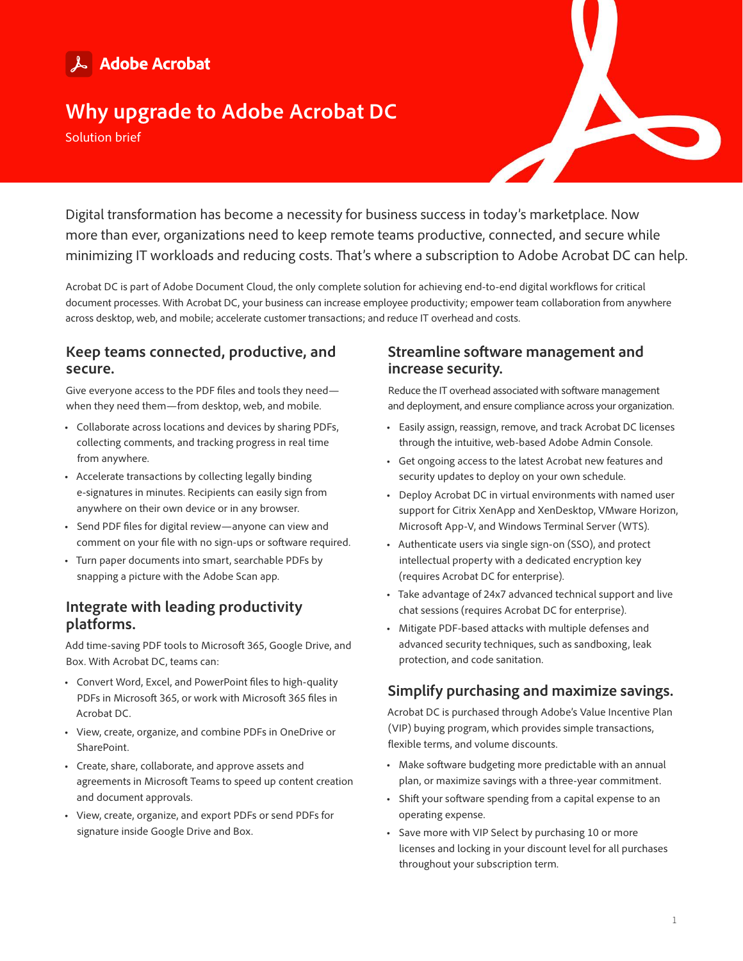# & Adobe Acrobat

# **Why upgrade to Adobe Acrobat DC**

Solution brief

Digital transformation has become a necessity for business success in today's marketplace. Now more than ever, organizations need to keep remote teams productive, connected, and secure while minimizing IT workloads and reducing costs. That's where a subscription to Adobe Acrobat DC can help.

Acrobat DC is part of Adobe Document Cloud, the only complete solution for achieving end-to-end digital workflows for critical document processes. With Acrobat DC, your business can increase employee productivity; empower team collaboration from anywhere across desktop, web, and mobile; accelerate customer transactions; and reduce IT overhead and costs.

# **Keep teams connected, productive, and secure.**

Give everyone access to the PDF files and tools they need when they need them—from desktop, web, and mobile.

- **•** Collaborate across locations and devices by sharing PDFs, collecting comments, and tracking progress in real time from anywhere.
- **•** Accelerate transactions by collecting legally binding e-signatures in minutes. Recipients can easily sign from anywhere on their own device or in any browser.
- **•** Send PDF files for digital review—anyone can view and comment on your file with no sign-ups or software required.
- **•** Turn paper documents into smart, searchable PDFs by snapping a picture with the Adobe Scan app.

# **Integrate with leading productivity platforms.**

Add time-saving PDF tools to Microsoft 365, Google Drive, and Box. With Acrobat DC, teams can:

- **•** Convert Word, Excel, and PowerPoint files to high-quality PDFs in Microsoft 365, or work with Microsoft 365 files in Acrobat DC.
- **•** View, create, organize, and combine PDFs in OneDrive or SharePoint.
- **•** Create, share, collaborate, and approve assets and agreements in Microsoft Teams to speed up content creation and document approvals.
- **•** View, create, organize, and export PDFs or send PDFs for signature inside Google Drive and Box.

# **Streamline software management and increase security.**

Reduce the IT overhead associated with software management and deployment, and ensure compliance across your organization.

- **•** Easily assign, reassign, remove, and track Acrobat DC licenses through the intuitive, web-based Adobe Admin Console.
- **•** Get ongoing access to the latest Acrobat new features and security updates to deploy on your own schedule.
- **•** Deploy Acrobat DC in virtual environments with named user support for Citrix XenApp and XenDesktop, VMware Horizon, Microsoft App-V, and Windows Terminal Server (WTS).
- **•** Authenticate users via single sign-on (SSO), and protect intellectual property with a dedicated encryption key (requires Acrobat DC for enterprise).
- **•** Take advantage of 24x7 advanced technical support and live chat sessions (requires Acrobat DC for enterprise).
- **•** Mitigate PDF-based attacks with multiple defenses and advanced security techniques, such as sandboxing, leak protection, and code sanitation.

# **Simplify purchasing and maximize savings.**

Acrobat DC is purchased through Adobe's Value Incentive Plan (VIP) buying program, which provides simple transactions, flexible terms, and volume discounts.

- **•** Make software budgeting more predictable with an annual plan, or maximize savings with a three-year commitment.
- **•** Shift your software spending from a capital expense to an operating expense.
- **•** Save more with VIP Select by purchasing 10 or more licenses and locking in your discount level for all purchases throughout your subscription term.